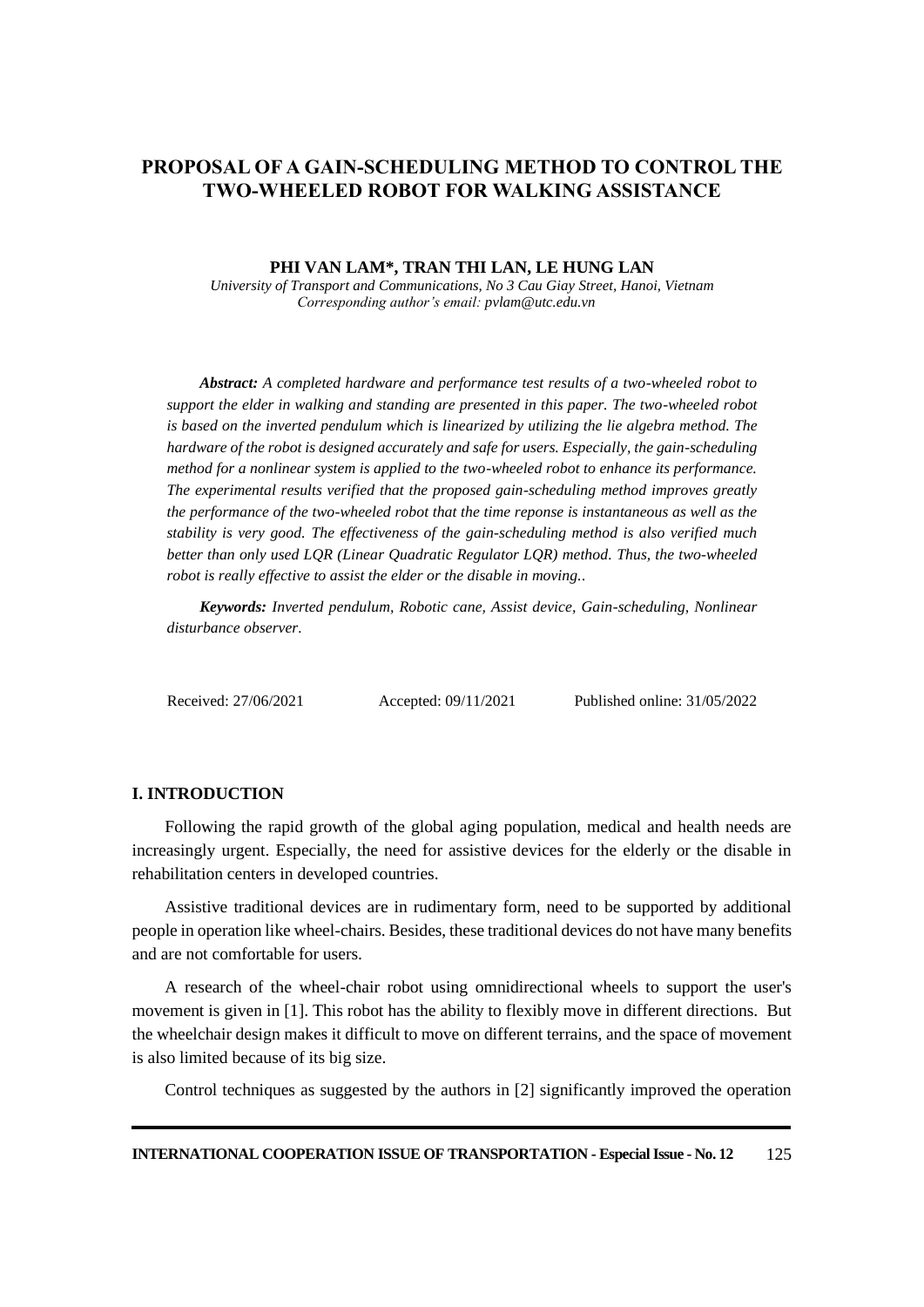# **PROPOSAL OF A GAIN-SCHEDULING METHOD TO CONTROL THE TWO-WHEELED ROBOT FOR WALKING ASSISTANCE**

## **PHI VAN LAM\*, TRAN THI LAN, LE HUNG LAN**

*University of Transport and Communications, No 3 Cau Giay Street, Hanoi, Vietnam Corresponding author's email[: pvlam@utc.edu.vn](mailto:abc@utc.edu.vn)*

*Abstract: A completed hardware and performance test results of a two-wheeled robot to support the elder in walking and standing are presented in this paper. The two-wheeled robot is based on the inverted pendulum which is linearized by utilizing the lie algebra method. The hardware of the robot is designed accurately and safe for users. Especially, the gain-scheduling method for a nonlinear system is applied to the two-wheeled robot to enhance its performance. The experimental results verified that the proposed gain-scheduling method improves greatly the performance of the two-wheeled robot that the time reponse is instantaneous as well as the stability is very good. The effectiveness of the gain-scheduling method is also verified much better than only used LQR (Linear Quadratic Regulator LQR) method. Thus, the two-wheeled robot is really effective to assist the elder or the disable in moving..*

*Keywords: Inverted pendulum, Robotic cane, Assist device, Gain-scheduling, Nonlinear disturbance observer.*

Received: 27/06/2021 Accepted: 09/11/2021 Published online: 31/05/2022

## **I. INTRODUCTION**

Following the rapid growth of the global aging population, medical and health needs are increasingly urgent. Especially, the need for assistive devices for the elderly or the disable in rehabilitation centers in developed countries.

Assistive traditional devices are in rudimentary form, need to be supported by additional people in operation like wheel-chairs. Besides, these traditional devices do not have many benefits and are not comfortable for users.

A research of the wheel-chair robot using omnidirectional wheels to support the user's movement is given in [1]. This robot has the ability to flexibly move in different directions. But the wheelchair design makes it difficult to move on different terrains, and the space of movement is also limited because of its big size.

Control techniques as suggested by the authors in [2] significantly improved the operation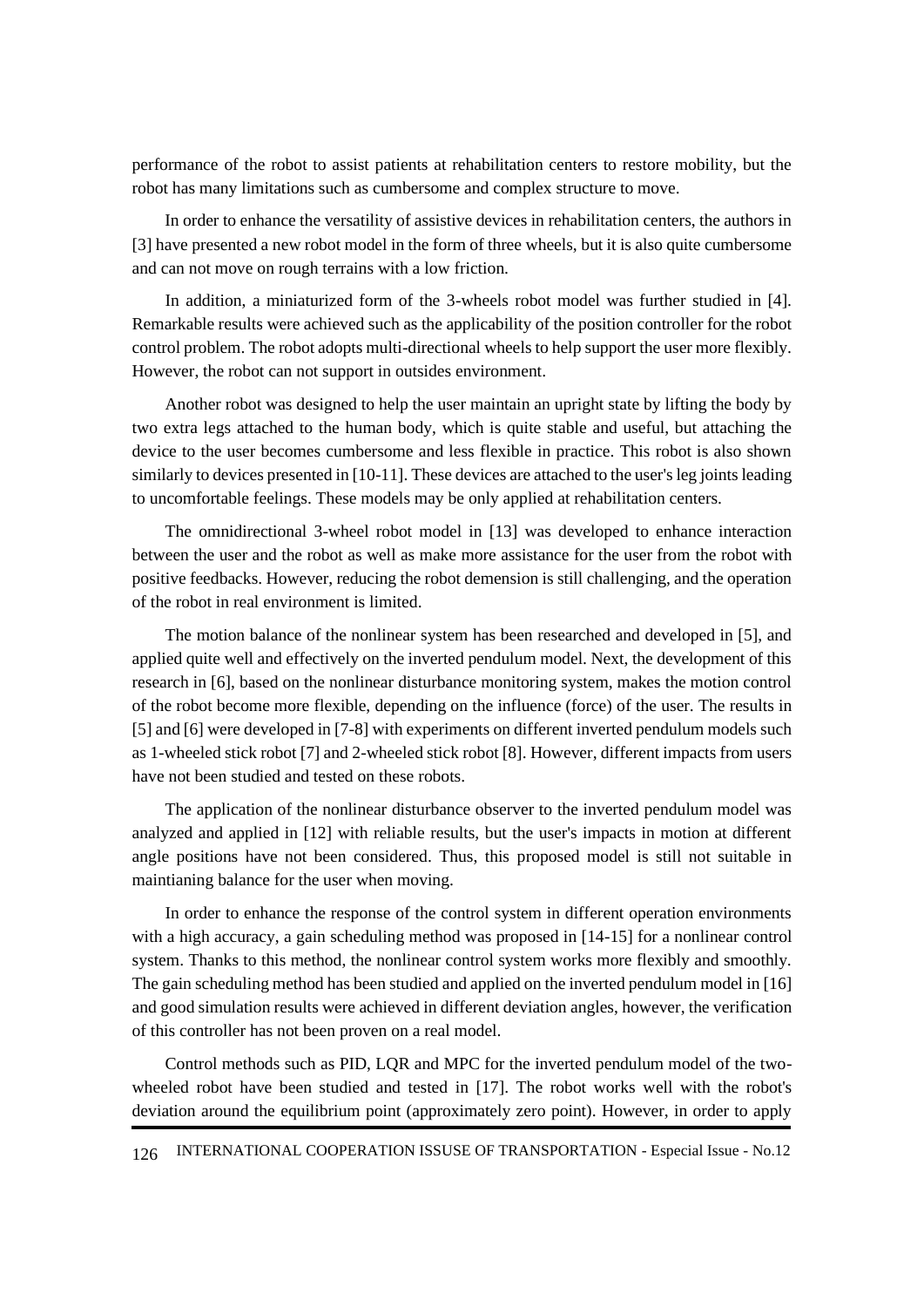performance of the robot to assist patients at rehabilitation centers to restore mobility, but the robot has many limitations such as cumbersome and complex structure to move.

In order to enhance the versatility of assistive devices in rehabilitation centers, the authors in [3] have presented a new robot model in the form of three wheels, but it is also quite cumbersome and can not move on rough terrains with a low friction.

In addition, a miniaturized form of the 3-wheels robot model was further studied in [4]. Remarkable results were achieved such as the applicability of the position controller for the robot control problem. The robot adopts multi-directional wheels to help support the user more flexibly. However, the robot can not support in outsides environment.

Another robot was designed to help the user maintain an upright state by lifting the body by two extra legs attached to the human body, which is quite stable and useful, but attaching the device to the user becomes cumbersome and less flexible in practice. This robot is also shown similarly to devices presented in [10-11]. These devices are attached to the user's leg joints leading to uncomfortable feelings. These models may be only applied at rehabilitation centers.

The omnidirectional 3-wheel robot model in [13] was developed to enhance interaction between the user and the robot as well as make more assistance for the user from the robot with positive feedbacks. However, reducing the robot demension is still challenging, and the operation of the robot in real environment is limited.

The motion balance of the nonlinear system has been researched and developed in [5], and applied quite well and effectively on the inverted pendulum model. Next, the development of this research in [6], based on the nonlinear disturbance monitoring system, makes the motion control of the robot become more flexible, depending on the influence (force) of the user. The results in [5] and [6] were developed in [7-8] with experiments on different inverted pendulum models such as 1-wheeled stick robot [7] and 2-wheeled stick robot [8]. However, different impacts from users have not been studied and tested on these robots.

The application of the nonlinear disturbance observer to the inverted pendulum model was analyzed and applied in [12] with reliable results, but the user's impacts in motion at different angle positions have not been considered. Thus, this proposed model is still not suitable in maintianing balance for the user when moving.

In order to enhance the response of the control system in different operation environments with a high accuracy, a gain scheduling method was proposed in [14-15] for a nonlinear control system. Thanks to this method, the nonlinear control system works more flexibly and smoothly. The gain scheduling method has been studied and applied on the inverted pendulum model in [16] and good simulation results were achieved in different deviation angles, however, the verification of this controller has not been proven on a real model.

Control methods such as PID, LQR and MPC for the inverted pendulum model of the twowheeled robot have been studied and tested in [17]. The robot works well with the robot's deviation around the equilibrium point (approximately zero point). However, in order to apply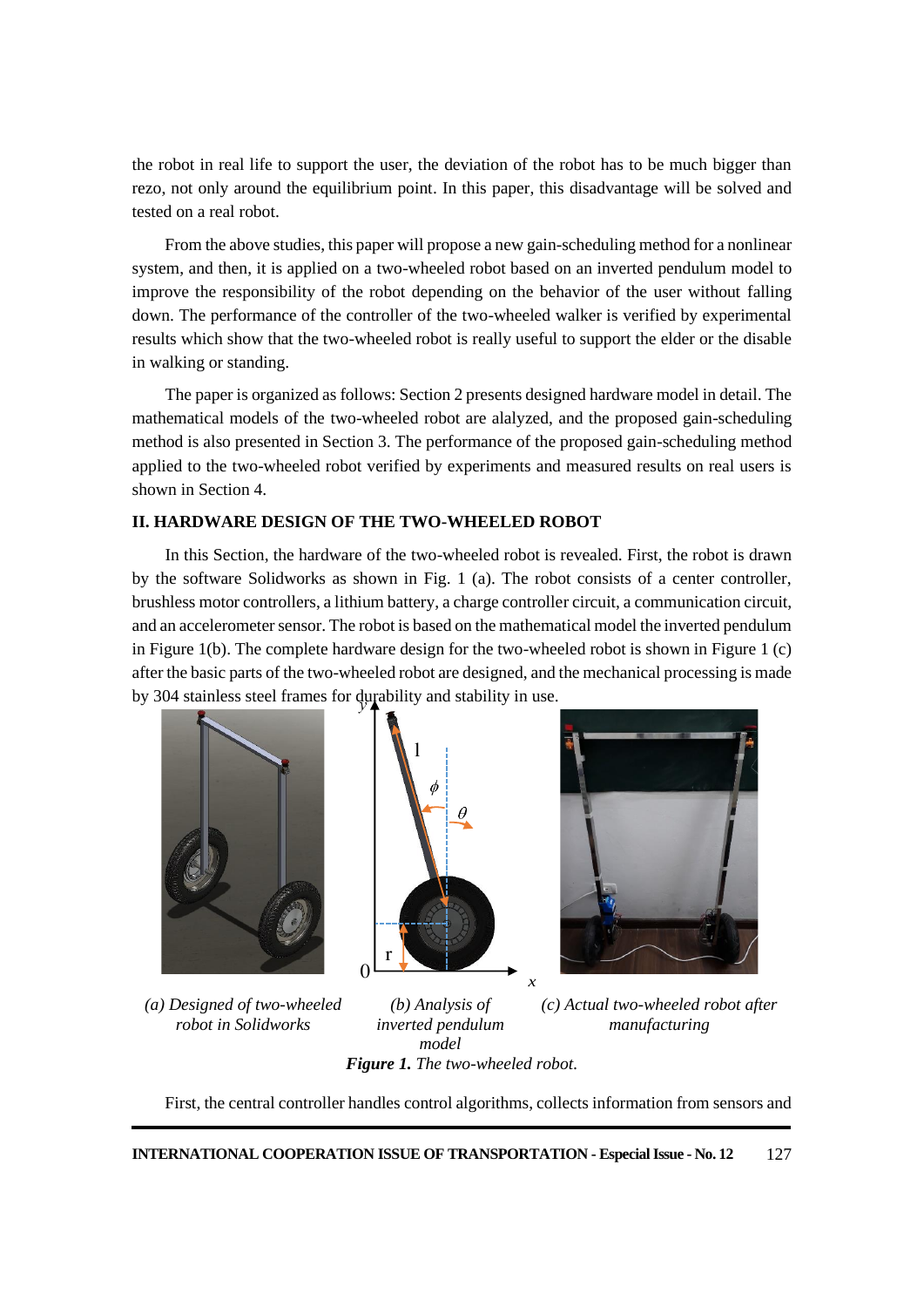the robot in real life to support the user, the deviation of the robot has to be much bigger than rezo, not only around the equilibrium point. In this paper, this disadvantage will be solved and tested on a real robot.

From the above studies, this paper will propose a new gain-scheduling method for a nonlinear system, and then, it is applied on a two-wheeled robot based on an inverted pendulum model to improve the responsibility of the robot depending on the behavior of the user without falling down. The performance of the controller of the two-wheeled walker is verified by experimental results which show that the two-wheeled robot is really useful to support the elder or the disable in walking or standing.

The paper is organized as follows: Section 2 presents designed hardware model in detail. The mathematical models of the two-wheeled robot are alalyzed, and the proposed gain-scheduling method is also presented in Section 3. The performance of the proposed gain-scheduling method applied to the two-wheeled robot verified by experiments and measured results on real users is shown in Section 4.

## **II. HARDWARE DESIGN OF THE TWO-WHEELED ROBOT**

In this Section, the hardware of the two-wheeled robot is revealed. First, the robot is drawn by the software Solidworks as shown in Fig. 1 (a). The robot consists of a center controller, brushless motor controllers, a lithium battery, a charge controller circuit, a communication circuit, and an accelerometer sensor. The robot is based on the mathematical model the inverted pendulum in Figure 1(b). The complete hardware design for the two-wheeled robot is shown in Figure 1 (c) after the basic parts of the two-wheeled robot are designed, and the mechanical processing is made by 304 stainless steel frames for durability and stability in use.

l



*(a) Designed of two-wheeled robot in Solidworks*



*(c) Actual two-wheeled robot after manufacturing*

*model Figure 1. The two-wheeled robot.*

*(b) Analysis of inverted pendulum* 

r  $\boldsymbol{0}$ 

First, the central controller handles control algorithms, collects information from sensors and

*x*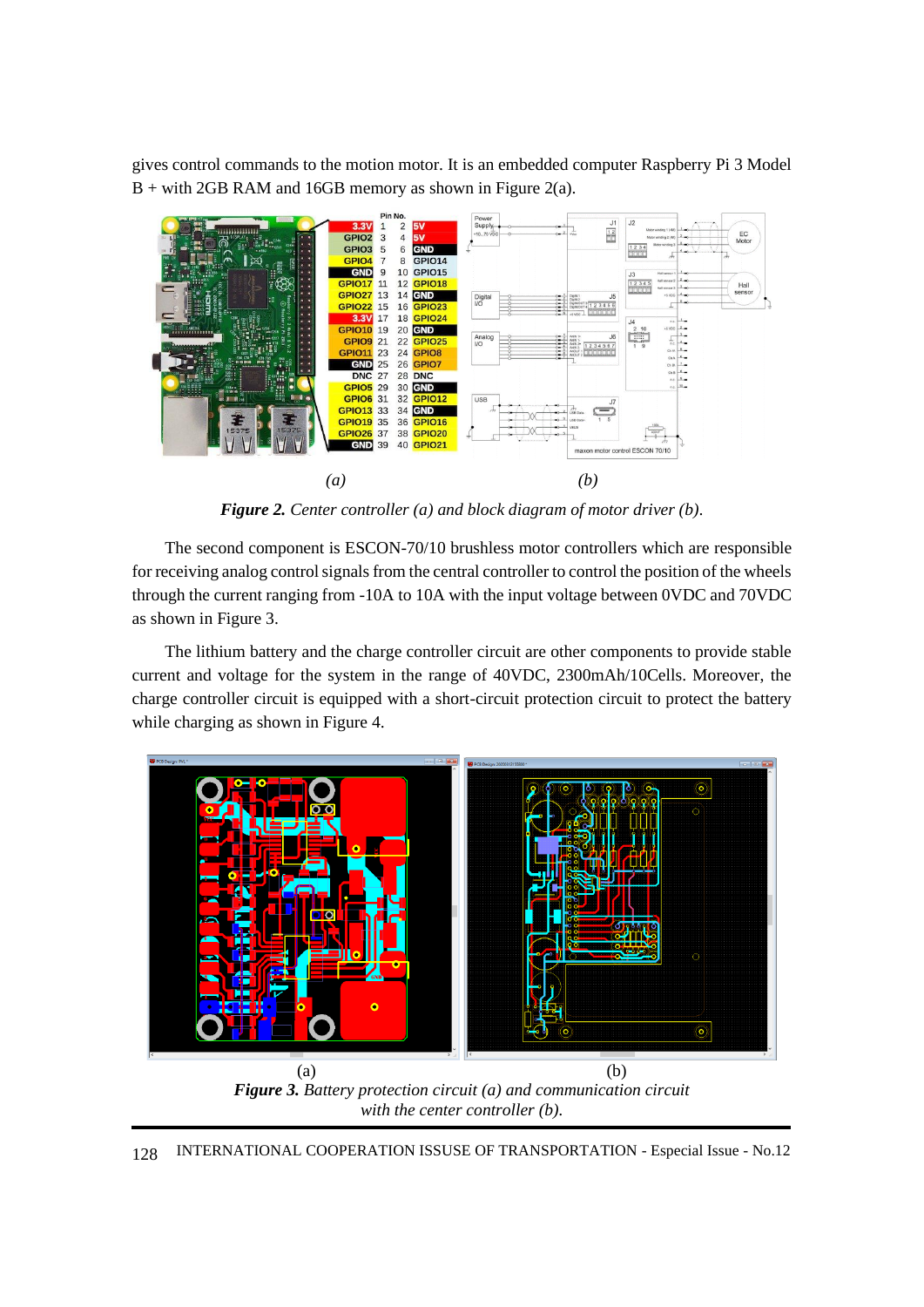gives control commands to the motion motor. It is an embedded computer Raspberry Pi 3 Model  $B +$  with 2GB RAM and 16GB memory as shown in Figure 2(a).



*Figure 2. Center controller (a) and block diagram of motor driver (b).*

The second component is ESCON-70/10 brushless motor controllers which are responsible for receiving analog control signals from the central controller to control the position of the wheels through the current ranging from -10A to 10A with the input voltage between 0VDC and 70VDC as shown in Figure 3.

The lithium battery and the charge controller circuit are other components to provide stable current and voltage for the system in the range of 40VDC, 2300mAh/10Cells. Moreover, the charge controller circuit is equipped with a short-circuit protection circuit to protect the battery while charging as shown in Figure 4.



*Figure 3. Battery protection circuit (a) and communication circuit with the center controller (b).*

128 INTERNATIONAL COOPERATION ISSUSE OF TRANSPORTATION - Especial Issue - No.12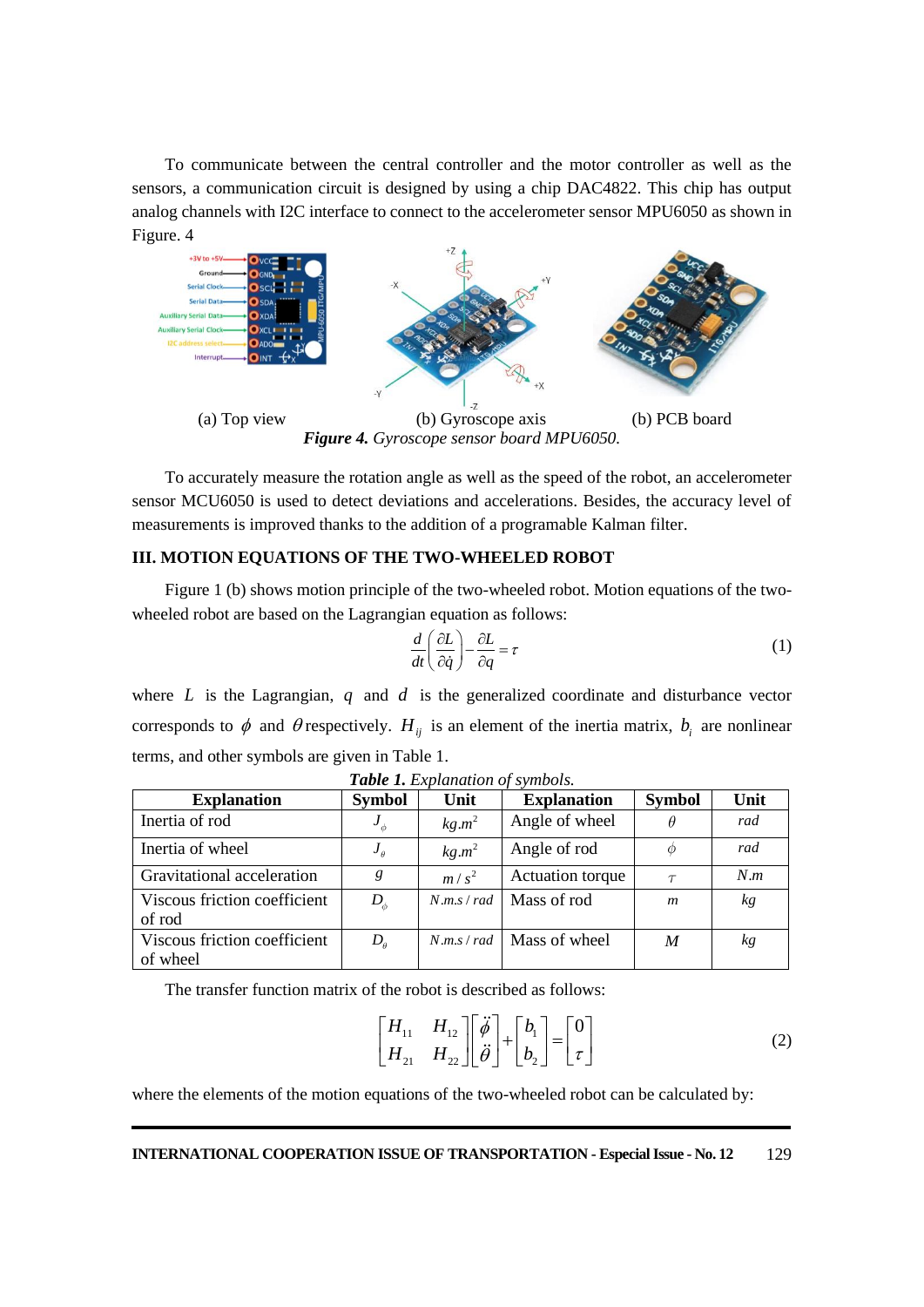To communicate between the central controller and the motor controller as well as the sensors, a communication circuit is designed by using a chip DAC4822. This chip has output analog channels with I2C interface to connect to the accelerometer sensor MPU6050 as shown in Figure. 4



To accurately measure the rotation angle as well as the speed of the robot, an accelerometer sensor MCU6050 is used to detect deviations and accelerations. Besides, the accuracy level of measurements is improved thanks to the addition of a programable Kalman filter.

## **III. MOTION EQUATIONS OF THE TWO-WHEELED ROBOT**

Figure 1 (b) shows motion principle of the two-wheeled robot. Motion equations of the twowheeled robot are based on the Lagrangian equation as follows:

$$
\frac{d}{dt}\left(\frac{\partial L}{\partial \dot{q}}\right) - \frac{\partial L}{\partial q} = \tau
$$
\n(1)

where  $L$  is the Lagrangian,  $q$  and  $d$  is the generalized coordinate and disturbance vector corresponds to  $\phi$  and  $\theta$  respectively.  $H_{ij}$  is an element of the inertia matrix,  $b_i$  are nonlinear terms, and other symbols are given in Table 1.

| <b>Explanation</b>           | <b>Symbol</b>                 | Unit        | <b>Explanation</b>        | <b>Symbol</b>    | Unit |
|------------------------------|-------------------------------|-------------|---------------------------|------------------|------|
| Inertia of rod               | $J_{\scriptscriptstyle \phi}$ | $kg.m^2$    | Angle of wheel            | $\theta$         | rad  |
| Inertia of wheel             | $J_{\theta}$                  | $kg.m^2$    | Angle of rod              | Ø                | rad  |
| Gravitational acceleration   | g                             | $m/s^2$     | Actuation torque          | $\tau$           | N.m  |
| Viscous friction coefficient | $D_{\scriptscriptstyle \phi}$ |             | $N.m.s/rad$   Mass of rod | $\boldsymbol{m}$ | kg   |
| of rod                       |                               |             |                           |                  |      |
| Viscous friction coefficient | $D_{\theta}$                  | N.m.s / rad | Mass of wheel             | M                | kg   |
| of wheel                     |                               |             |                           |                  |      |

*Table 1. Explanation of symbols.*

The transfer function matrix of the robot is described as follows:

$$
\begin{bmatrix} H_{11} & H_{12} \\ H_{21} & H_{22} \end{bmatrix} \begin{bmatrix} \ddot{\phi} \\ \ddot{\theta} \end{bmatrix} + \begin{bmatrix} b_1 \\ b_2 \end{bmatrix} = \begin{bmatrix} 0 \\ \tau \end{bmatrix}
$$
 (2)

where the elements of the motion equations of the two-wheeled robot can be calculated by: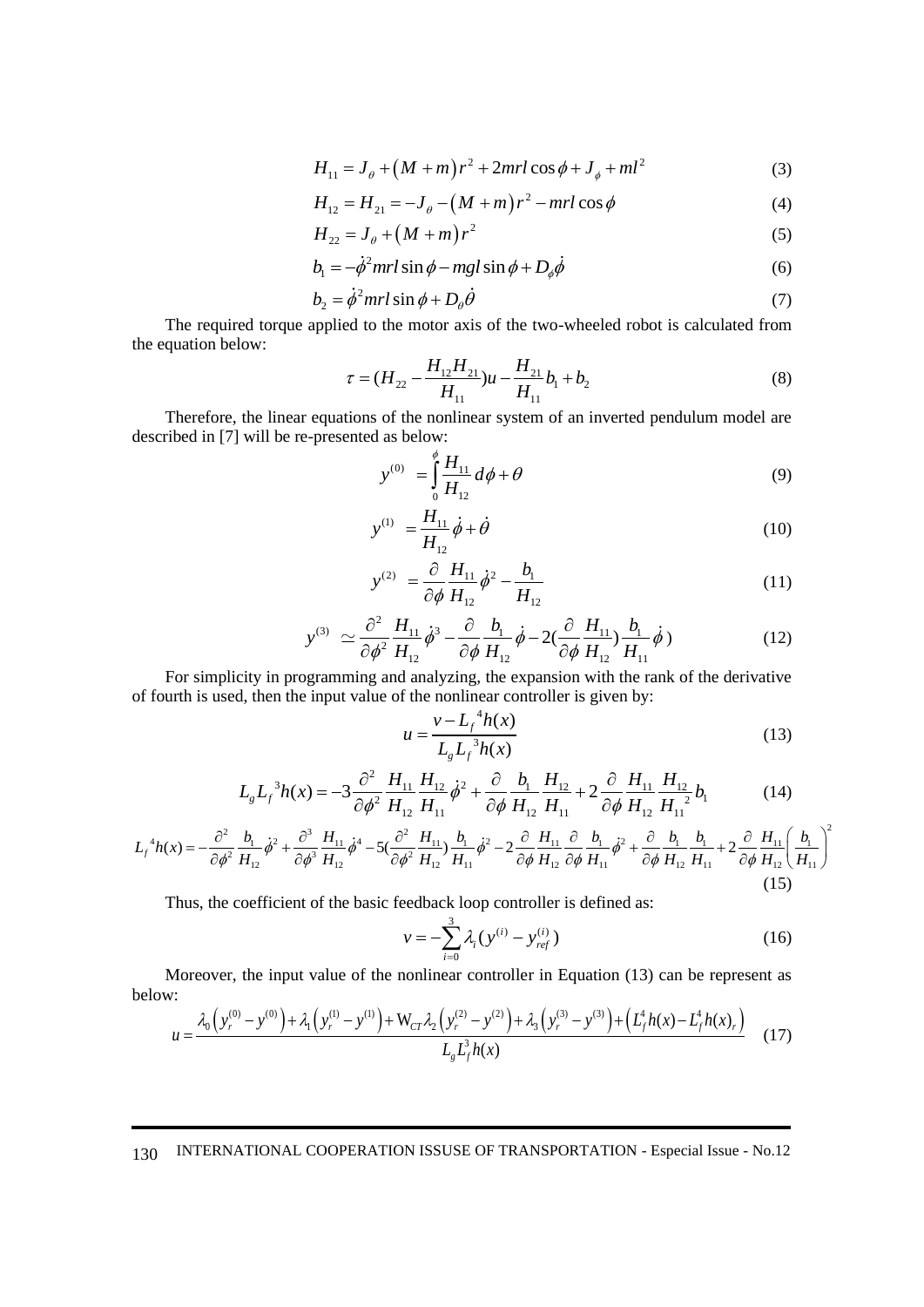$$
H_{11} = J_{\theta} + (M+m)r^2 + 2mrl\cos\phi + J_{\phi} + ml^2
$$
 (3)

$$
H_{11} = J_{\theta} + (M + m)r' + 2mrt \cos \psi + J_{\phi} + mt
$$
\n(3)  
\n
$$
H_{12} = H_{21} = -J_{\theta} - (M + m)r^{2} - mrl \cos \phi
$$
\n(4)

$$
H_{22} = J_{\theta} + (M + m)r^2
$$
 (5)

$$
b_1 = -\dot{\phi}^2 mrl \sin \phi - mgl \sin \phi + D_{\phi}\dot{\phi}
$$
 (6)

$$
b_2 = \dot{\phi}^2 mrl \sin \phi + D_\theta \dot{\theta} \tag{7}
$$

The required torque applied to the motor axis of the two-wheeled robot is calculated from the equation below:

$$
\tau = (H_{22} - \frac{H_{12}H_{21}}{H_{11}})u - \frac{H_{21}}{H_{11}}b_1 + b_2
$$
\n(8)

Therefore, the linear equations of the nonlinear system of an inverted pendulum model are described in [7] will be re-presented as below:

$$
y^{(0)} = \int_{0}^{\phi} \frac{H_{11}}{H_{12}} d\phi + \theta
$$
 (9)

$$
y^{(1)} = \frac{H_{11}}{H_{12}} \dot{\phi} + \dot{\theta}
$$
 (10)

$$
y^{(2)} = \frac{\partial}{\partial \phi} \frac{H_{11}}{H_{12}} \dot{\phi}^2 - \frac{b_1}{H_{12}}
$$
 (11)

$$
y = \frac{\partial}{\partial \phi} \frac{\partial}{H_{12}} \phi - \frac{H_{12}}{H_{12}} \phi
$$
(11)  

$$
y^{(3)} \simeq \frac{\partial^2}{\partial \phi^2} \frac{H_{11}}{H_{12}} \dot{\phi}^3 - \frac{\partial}{\partial \phi} \frac{b_1}{H_{12}} \dot{\phi} - 2(\frac{\partial}{\partial \phi} \frac{H_{11}}{H_{12}}) \frac{b_1}{H_{11}} \dot{\phi})
$$
(12)

For simplicity in programming and analyzing, the expansion with the rank of the derivative of fourth is used, then the input value of the nonlinear controller is given by:

$$
u = \frac{v - L_f^4 h(x)}{L_g L_f^3 h(x)}
$$
(13)

$$
u = \frac{v - L_f \, n(x)}{L_g L_f^3 h(x)}
$$
(13)  

$$
L_g L_f^3 h(x) = -3 \frac{\partial^2}{\partial \phi^2} \frac{H_{11}}{H_{12}} \frac{H_{12}}{H_{11}} \dot{\phi}^2 + \frac{\partial}{\partial \phi} \frac{b_1}{H_{12}} \frac{H_{12}}{H_{11}} + 2 \frac{\partial}{\partial \phi} \frac{H_{11}}{H_{12}} \frac{H_{12}}{H_{11}} b_1
$$
(14)  

$$
\frac{a}{b^2} \frac{b_1}{H_{12}} \dot{\phi}^2 + \frac{\partial^3}{\partial \phi^3} \frac{H_{11}}{H_{12}} \dot{\phi}^4 - 5(\frac{\partial^2}{\partial \phi^2} \frac{H_{11}}{H_{12}}) \frac{b_1}{H_{11}} \dot{\phi}^2 - 2 \frac{\partial}{\partial \phi} \frac{H_{11}}{H_{12}} \frac{\partial}{\partial \phi} \frac{b_1}{H_{11}} \dot{\phi}^2 + \frac{\partial}{\partial \phi} \frac{b_1}{H_{12}} \frac{b_1}{H_{11}} + 2 \frac{\partial}{\partial \phi} \frac{H_{11}}{H_{12}} \left(\frac{\partial}{\partial \phi} \frac{H_{11}}{H_{12}}\right) b_1 \frac{b_1}{H_{12}} \dot{\phi}^2 - 2 \frac{\partial}{\partial \phi} \frac{H_{11}}{H_{12}} \frac{\partial}{\partial \phi} \frac{b_1}{H_{11}} \dot{\phi}^2 + \frac{\partial}{\partial \phi} \frac{b_1}{H_{12}} \frac{b_1}{H_{11}} + 2 \frac{\partial}{\partial \phi} \frac{H_{11}}{H_{12}} \left(\frac{\partial}{\partial \phi} \frac{H_{11}}{H_{12}}\right) b_1 \frac{b_1}{H_{12}} \dot{\phi}^2 - 2 \frac{\partial}{\partial \phi} \frac{H_{11}}{H_{12}} \frac{\partial}{\partial \phi} \frac{b_1}{H_{12}} \dot{\phi}^2 + \frac{\partial}{\partial \phi} \frac{b_1}{H_{12}} \frac{b_1}{H_{12}} \dot{\phi}^2 + \frac{\partial}{\partial \phi} \frac{H_{11
$$

$$
L_{g}L_{f}{}^{3}h(x)
$$
\n
$$
L_{g}L_{f}{}^{3}h(x) = -3\frac{\partial^{2}}{\partial\phi^{2}}\frac{H_{11}}{H_{12}}\frac{H_{12}}{H_{11}}\dot{\phi}^{2} + \frac{\partial}{\partial\phi}\frac{b_{1}}{H_{12}}\frac{H_{12}}{H_{11}} + 2\frac{\partial}{\partial\phi}\frac{H_{11}}{H_{12}}\frac{H_{12}}{H_{11}}b_{1}
$$
\n
$$
L_{f}{}^{4}h(x) = -\frac{\partial^{2}}{\partial\phi^{2}}\frac{b_{1}}{H_{12}}\dot{\phi}^{2} + \frac{\partial^{3}}{\partial\phi^{3}}\frac{H_{11}}{H_{12}}\dot{\phi}^{4} - 5(\frac{\partial^{2}}{\partial\phi^{2}}\frac{H_{11}}{H_{12}})\frac{b_{1}}{H_{11}}\dot{\phi}^{2} - 2\frac{\partial}{\partial\phi}\frac{H_{11}}{H_{12}}\frac{\partial}{\partial\phi}\frac{b_{1}}{H_{12}}\dot{\phi}^{2} + \frac{\partial}{\partial\phi}\frac{b_{1}}{H_{12}}\frac{b_{1}}{H_{11}} + 2\frac{\partial}{\partial\phi}\frac{H_{11}}{H_{12}}\left(\frac{b_{1}}{H_{11}}\right)^{2}
$$
\n(15)

Thus, the coefficient of the basic feedback loop controller is defined as:

$$
v = -\sum_{i=0}^{3} \lambda_i (y^{(i)} - y_{ref}^{(i)})
$$
 (16)

Moreover, the input value of the nonlinear controller in Equation (13) can be represent as <br>  $\lambda_n(y_r^{(0)} - y^{(0)}) + \lambda_n(y_r^{(1)} - y^{(1)}) + W_{cr} \lambda_n(y_r^{(2)} - y^{(2)}) + \lambda_n(y_r^{(3)} - y^{(3)}) + (L_r^4 h(x) - L_r^4 h(x)$ below:

Moreover, the input value of the nonlinear controller in Equation (13) can be represent as  
\n
$$
u = \frac{\lambda_0 \left( y_r^{(0)} - y^{(0)} \right) + \lambda_1 \left( y_r^{(1)} - y^{(1)} \right) + W_{CT} \lambda_2 \left( y_r^{(2)} - y^{(2)} \right) + \lambda_3 \left( y_r^{(3)} - y^{(3)} \right) + \left( L_f^4 h(x) - L_f^4 h(x) \right)}{L_g L_f^3 h(x)}
$$
\n(17)

# 130 INTERNATIONAL COOPERATION ISSUSE OF TRANSPORTATION - Especial Issue - No.12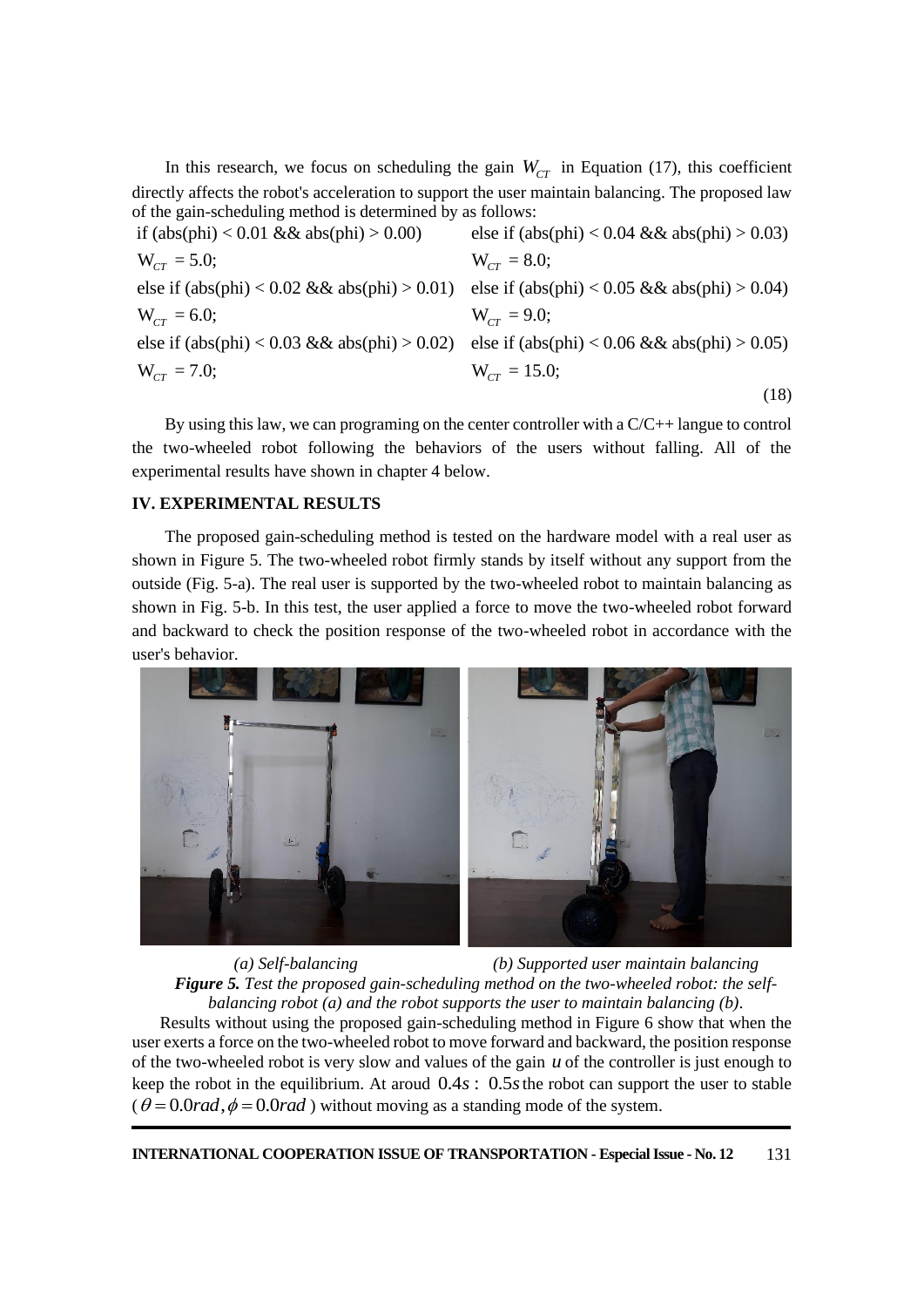In this research, we focus on scheduling the gain  $W_{CT}$  in Equation (17), this coefficient lirectly affects the robot's acceleration to support the user maintain balancing. The proposed law of the gain-scheduling method of the gain-scheduling method is determined by as follows:

directly affects the robot's acceleration to support the user maintain balancing. The proposed law W = 5.0; W = 8.0; else if (abs(phi) < 0.02 && abs(phi) > 0.01) W = 6.0; else if (abs(phi) < 0.03 && abs(phi) > 0.02) W = 7.0; *CT CT CT* ) else if (abs(phi) < 0.05 && abs(phi) > 0.04) W = 9.0; else if (abs(phi) < 0.06 && abs(phi) > 0.05) W = 15.0; *CT CT CT* (18)

By using this law, we can programing on the center controller with a C/C++ langue to control the two-wheeled robot following the behaviors of the users without falling. All of the experimental results have shown in chapter 4 below.

## **IV. EXPERIMENTAL RESULTS**

The proposed gain-scheduling method is tested on the hardware model with a real user as shown in Figure 5. The two-wheeled robot firmly stands by itself without any support from the outside (Fig. 5-a). The real user is supported by the two-wheeled robot to maintain balancing as shown in Fig. 5-b. In this test, the user applied a force to move the two-wheeled robot forward and backward to check the position response of the two-wheeled robot in accordance with the user's behavior.



*(a) Self-balancing (b) Supported user maintain balancing Figure 5. Test the proposed gain-scheduling method on the two-wheeled robot: the selfbalancing robot (a) and the robot supports the user to maintain balancing (b).*

Results without using the proposed gain-scheduling method in Figure 6 show that when the user exerts a force on the two-wheeled robot to move forward and backward, the position response of the two-wheeled robot is very slow and values of the gain  $u$  of the controller is just enough to keep the robot in the equilibrium. At aroud  $0.4s$ :  $0.5s$  the robot can support the user to stable  $(\theta = 0.0 rad, \phi = 0.0 rad)$  without moving as a standing mode of the system.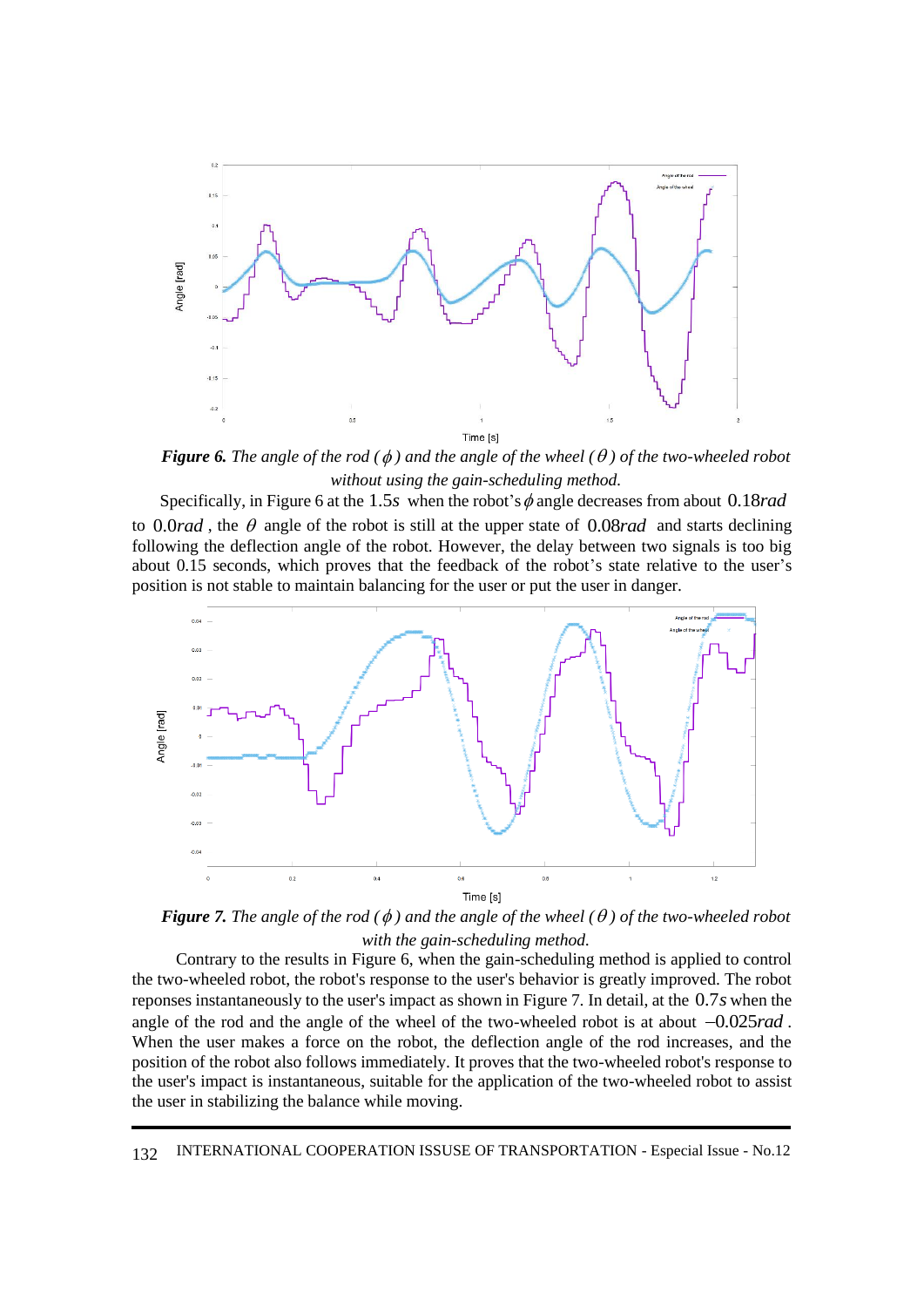

*Figure* **6.** The angle of the rod ( $\phi$ ) and the angle of the wheel ( $\theta$ ) of the two-wheeled robot *without using the gain-scheduling method.*

Specifically, in Figure 6 at the  $1.5s$  when the robot's  $\phi$  angle decreases from about 0.18*rad* to  $0.0rad$ , the  $\theta$  angle of the robot is still at the upper state of  $0.08rad$  and starts declining following the deflection angle of the robot. However, the delay between two signals is too big about 0.15 seconds, which proves that the feedback of the robot's state relative to the user's position is not stable to maintain balancing for the user or put the user in danger.



*Figure* 7. The angle of the rod ( $\phi$ ) and the angle of the wheel ( $\theta$ ) of the two-wheeled robot *with the gain-scheduling method.*

Contrary to the results in Figure 6, when the gain-scheduling method is applied to control the two-wheeled robot, the robot's response to the user's behavior is greatly improved. The robot reponses instantaneously to the user's impact as shown in Figure 7. In detail, at the 0.7*s* when the angle of the rod and the angle of the wheel of the two-wheeled robot is at about −0.025*rad* . When the user makes a force on the robot, the deflection angle of the rod increases, and the position of the robot also follows immediately. It proves that the two-wheeled robot's response to the user's impact is instantaneous, suitable for the application of the two-wheeled robot to assist the user in stabilizing the balance while moving.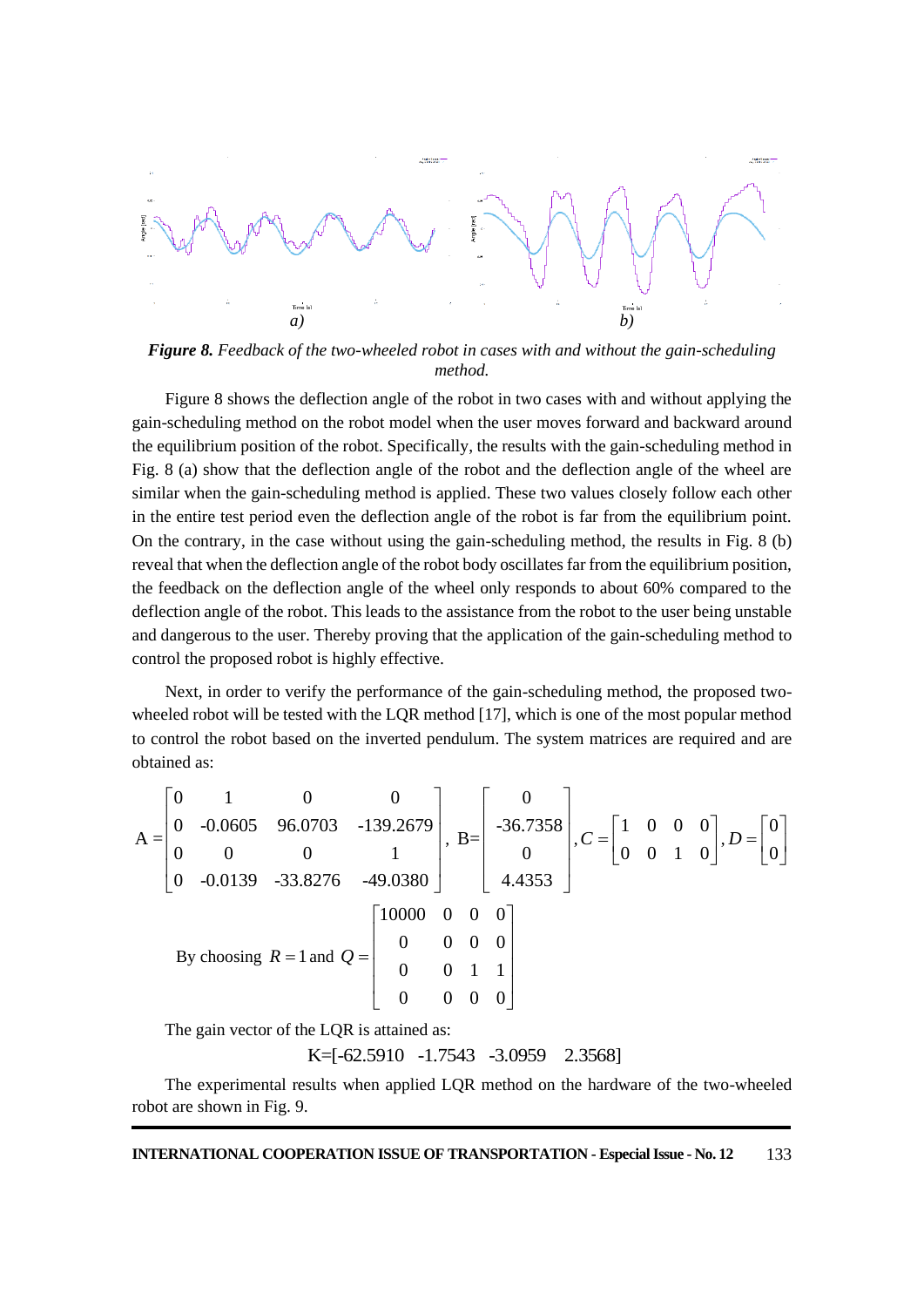

*Figure 8. Feedback of the two-wheeled robot in cases with and without the gain-scheduling method.*

Figure 8 shows the deflection angle of the robot in two cases with and without applying the gain-scheduling method on the robot model when the user moves forward and backward around the equilibrium position of the robot. Specifically, the results with the gain-scheduling method in Fig. 8 (a) show that the deflection angle of the robot and the deflection angle of the wheel are similar when the gain-scheduling method is applied. These two values closely follow each other in the entire test period even the deflection angle of the robot is far from the equilibrium point. On the contrary, in the case without using the gain-scheduling method, the results in Fig. 8 (b) reveal that when the deflection angle of the robot body oscillates far from the equilibrium position, the feedback on the deflection angle of the wheel only responds to about 60% compared to the deflection angle of the robot. This leads to the assistance from the robot to the user being unstable and dangerous to the user. Thereby proving that the application of the gain-scheduling method to control the proposed robot is highly effective.

Next, in order to verify the performance of the gain-scheduling method, the proposed twowheeled robot will be tested with the LQR method [17], which is one of the most popular method to control the robot based on the inverted pendulum. The system matrices are required and are obtained as:

$$
A = \begin{bmatrix} 0 & 1 & 0 & 0 \\ 0 & -0.0605 & 96.0703 & -139.2679 \\ 0 & 0 & 0 & 1 \\ 0 & -0.0139 & -33.8276 & -49.0380 \end{bmatrix}, B = \begin{bmatrix} 0 \\ -36.7358 \\ 0 \\ 4.4353 \end{bmatrix}, C = \begin{bmatrix} 1 & 0 & 0 & 0 \\ 0 & 0 & 1 & 0 \end{bmatrix}, D = \begin{bmatrix} 0 \\ 0 \end{bmatrix}
$$
  
By choosing  $R = 1$  and  $Q = \begin{bmatrix} 10000 & 0 & 0 & 0 \\ 0 & 0 & 0 & 1 & 1 \\ 0 & 0 & 0 & 1 & 1 \\ 0 & 0 & 0 & 0 & 0 \end{bmatrix}$ 

The gain vector of the LQR is attained as:

K=[-62.5910 -1.7543 -3.0959 2.3568]

The experimental results when applied LQR method on the hardware of the two-wheeled robot are shown in Fig. 9.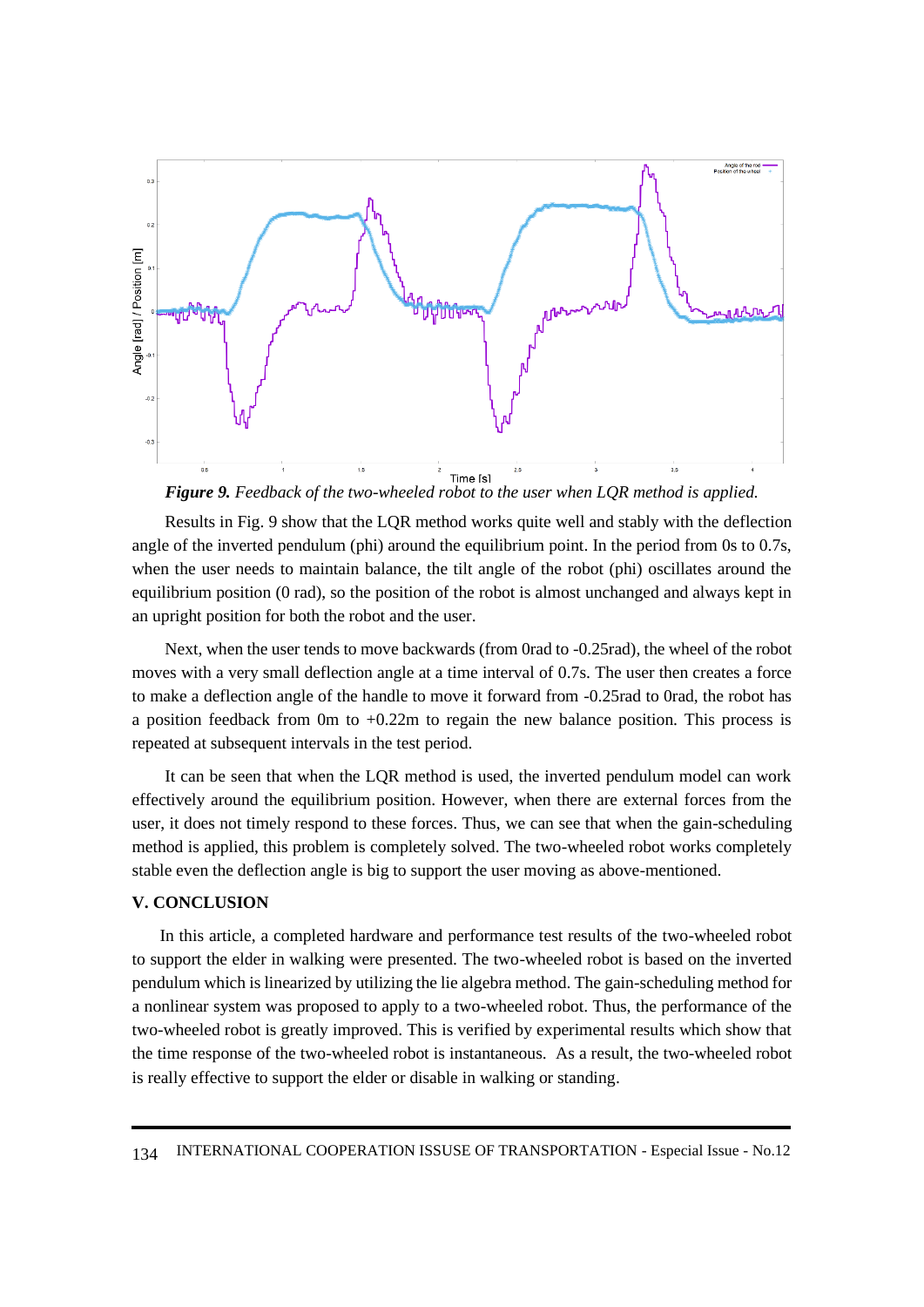

*Figure 9. Feedback of the two-wheeled robot to the user when LQR method is applied.*

Results in Fig. 9 show that the LQR method works quite well and stably with the deflection angle of the inverted pendulum (phi) around the equilibrium point. In the period from 0s to 0.7s, when the user needs to maintain balance, the tilt angle of the robot (phi) oscillates around the equilibrium position (0 rad), so the position of the robot is almost unchanged and always kept in an upright position for both the robot and the user.

Next, when the user tends to move backwards (from 0rad to -0.25rad), the wheel of the robot moves with a very small deflection angle at a time interval of 0.7s. The user then creates a force to make a deflection angle of the handle to move it forward from -0.25rad to 0rad, the robot has a position feedback from 0m to +0.22m to regain the new balance position. This process is repeated at subsequent intervals in the test period.

It can be seen that when the LQR method is used, the inverted pendulum model can work effectively around the equilibrium position. However, when there are external forces from the user, it does not timely respond to these forces. Thus, we can see that when the gain-scheduling method is applied, this problem is completely solved. The two-wheeled robot works completely stable even the deflection angle is big to support the user moving as above-mentioned.

### **V. CONCLUSION**

In this article, a completed hardware and performance test results of the two-wheeled robot to support the elder in walking were presented. The two-wheeled robot is based on the inverted pendulum which is linearized by utilizing the lie algebra method. The gain-scheduling method for a nonlinear system was proposed to apply to a two-wheeled robot. Thus, the performance of the two-wheeled robot is greatly improved. This is verified by experimental results which show that the time response of the two-wheeled robot is instantaneous. As a result, the two-wheeled robot is really effective to support the elder or disable in walking or standing.